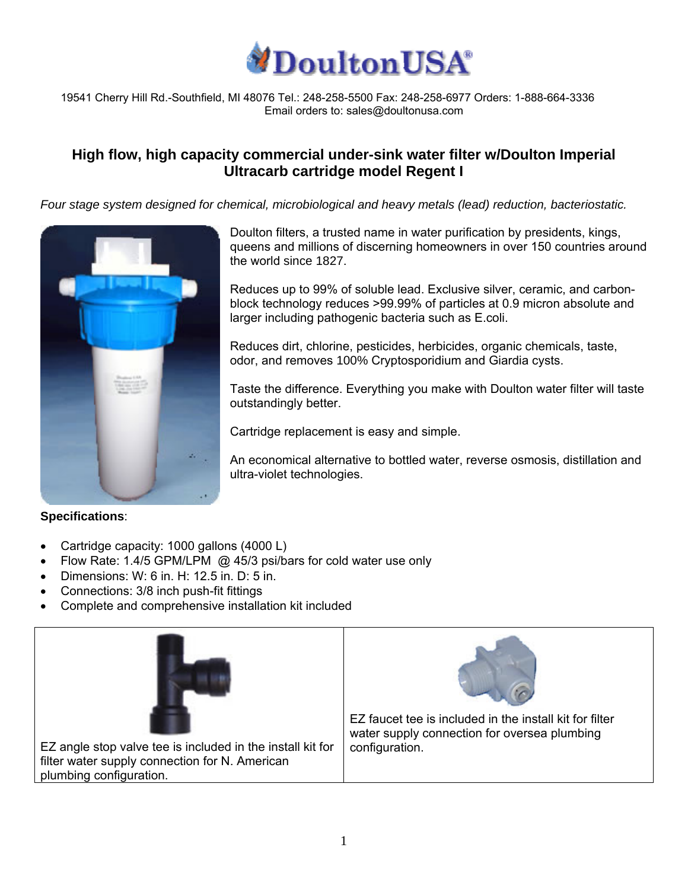

19541 Cherry Hill Rd.-Southfield, MI 48076 Tel.: 248-258-5500 Fax: 248-258-6977 Orders: 1-888-664-3336 Email orders to: sales@doultonusa.com

## **High flow, high capacity commercial under-sink water filter w/Doulton Imperial Ultracarb cartridge model Regent I**

*Four stage system designed for chemical, microbiological and heavy metals (lead) reduction, bacteriostatic.* 



## **Specifications**:

- Cartridge capacity: 1000 gallons (4000 L)
- Flow Rate: 1.4/5 GPM/LPM @ 45/3 psi/bars for cold water use only
- Dimensions: W: 6 in. H: 12.5 in. D: 5 in.
- Connections: 3/8 inch push-fit fittings
- Complete and comprehensive installation kit included



Doulton filters, a trusted name in water purification by presidents, kings, queens and millions of discerning homeowners in over 150 countries around the world since 1827.

Reduces up to 99% of soluble lead. Exclusive silver, ceramic, and carbonblock technology reduces >99.99% of particles at 0.9 micron absolute and larger including pathogenic bacteria such as E.coli.

Reduces dirt, chlorine, pesticides, herbicides, organic chemicals, taste, odor, and removes 100% Cryptosporidium and Giardia cysts.

Taste the difference. Everything you make with Doulton water filter will taste outstandingly better.

Cartridge replacement is easy and simple.

An economical alternative to bottled water, reverse osmosis, distillation and ultra-violet technologies.